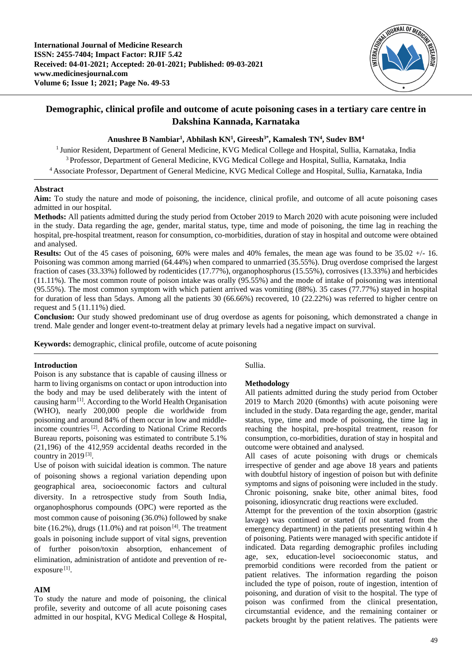

# **Demographic, clinical profile and outcome of acute poisoning cases in a tertiary care centre in Dakshina Kannada, Karnataka**

# **Anushree B Nambiar<sup>1</sup> , Abhilash KN<sup>1</sup> , Gireesh3\* , Kamalesh TN<sup>4</sup> , Sudev BM<sup>4</sup>**

<sup>1</sup> Junior Resident, Department of General Medicine, KVG Medical College and Hospital, Sullia, Karnataka, India <sup>3</sup> Professor, Department of General Medicine, KVG Medical College and Hospital, Sullia, Karnataka, India <sup>4</sup> Associate Professor, Department of General Medicine, KVG Medical College and Hospital, Sullia, Karnataka, India

# **Abstract**

**Aim:** To study the nature and mode of poisoning, the incidence, clinical profile, and outcome of all acute poisoning cases admitted in our hospital.

**Methods:** All patients admitted during the study period from October 2019 to March 2020 with acute poisoning were included in the study. Data regarding the age, gender, marital status, type, time and mode of poisoning, the time lag in reaching the hospital, pre-hospital treatment, reason for consumption, co-morbidities, duration of stay in hospital and outcome were obtained and analysed.

**Results:** Out of the 45 cases of poisoning, 60% were males and 40% females, the mean age was found to be 35.02 +/- 16. Poisoning was common among married (64.44%) when compared to unmarried (35.55%). Drug overdose comprised the largest fraction of cases (33.33%) followed by rodenticides (17.77%), organophosphorus (15.55%), corrosives (13.33%) and herbicides (11.11%). The most common route of poison intake was orally (95.55%) and the mode of intake of poisoning was intentional (95.55%). The most common symptom with which patient arrived was vomiting (88%). 35 cases (77.77%) stayed in hospital for duration of less than 5days. Among all the patients 30 (66.66%) recovered, 10 (22.22%) was referred to higher centre on request and 5 (11.11%) died.

**Conclusion:** Our study showed predominant use of drug overdose as agents for poisoning, which demonstrated a change in trend. Male gender and longer event-to-treatment delay at primary levels had a negative impact on survival.

**Keywords:** demographic, clinical profile, outcome of acute poisoning

# **Introduction**

Poison is any substance that is capable of causing illness or harm to living organisms on contact or upon introduction into the body and may be used deliberately with the intent of causing harm<sup>[1]</sup>. According to the World Health Organisation (WHO), nearly 200,000 people die worldwide from poisoning and around 84% of them occur in low and middleincome countries [2] . According to National Crime Records Bureau reports, poisoning was estimated to contribute 5.1% (21,196) of the 412,959 accidental deaths recorded in the country in  $2019^{[3]}$ .

Use of poison with suicidal ideation is common. The nature of poisoning shows a regional variation depending upon geographical area, socioeconomic factors and cultural diversity. In a retrospective study from South India, organophosphorus compounds (OPC) were reported as the most common cause of poisoning (36.0%) followed by snake bite  $(16.2\%)$ , drugs  $(11.0\%)$  and rat poison <sup>[4]</sup>. The treatment goals in poisoning include support of vital signs, prevention of further poison/toxin absorption, enhancement of elimination, administration of antidote and prevention of reexposure<sup>[1]</sup>.

# **AIM**

To study the nature and mode of poisoning, the clinical profile, severity and outcome of all acute poisoning cases admitted in our hospital, KVG Medical College & Hospital,

Sullia.

# **Methodology**

All patients admitted during the study period from October 2019 to March 2020 (6months) with acute poisoning were included in the study. Data regarding the age, gender, marital status, type, time and mode of poisoning, the time lag in reaching the hospital, pre-hospital treatment, reason for consumption, co-morbidities, duration of stay in hospital and outcome were obtained and analysed.

All cases of acute poisoning with drugs or chemicals irrespective of gender and age above 18 years and patients with doubtful history of ingestion of poison but with definite symptoms and signs of poisoning were included in the study. Chronic poisoning, snake bite, other animal bites, food poisoning, idiosyncratic drug reactions were excluded.

Attempt for the prevention of the toxin absorption (gastric lavage) was continued or started (if not started from the emergency department) in the patients presenting within 4 h of poisoning. Patients were managed with specific antidote if indicated. Data regarding demographic profiles including age, sex, education-level socioeconomic status, and premorbid conditions were recorded from the patient or patient relatives. The information regarding the poison included the type of poison, route of ingestion, intention of poisoning, and duration of visit to the hospital. The type of poison was confirmed from the clinical presentation, circumstantial evidence, and the remaining container or packets brought by the patient relatives. The patients were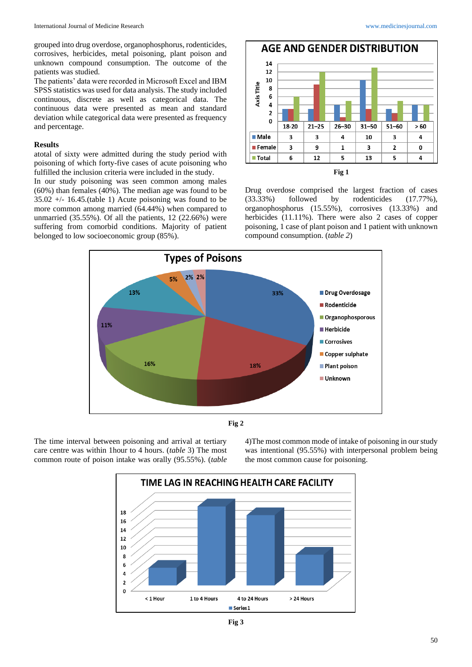grouped into drug overdose, organophosphorus, rodenticides, corrosives, herbicides, metal poisoning, plant poison and unknown compound consumption. The outcome of the patients was studied.

The patients' data were recorded in Microsoft Excel and IBM SPSS statistics was used for data analysis. The study included continuous, discrete as well as categorical data. The continuous data were presented as mean and standard deviation while categorical data were presented as frequency and percentage.

#### **Results**

atotal of sixty were admitted during the study period with poisoning of which forty-five cases of acute poisoning who fulfilled the inclusion criteria were included in the study.

In our study poisoning was seen common among males (60%) than females (40%). The median age was found to be 35.02 +/- 16.45*.*(table 1) Acute poisoning was found to be more common among married (64.44%) when compared to unmarried (35.55%). Of all the patients, 12 (22.66%) were suffering from comorbid conditions. Majority of patient belonged to low socioeconomic group (85%).



**Fig 1**

Drug overdose comprised the largest fraction of cases (33.33%) followed by rodenticides (17.77%), organophosphorus (15.55%), corrosives (13.33%) and herbicides (11.11%). There were also 2 cases of copper poisoning, 1 case of plant poison and 1 patient with unknown compound consumption. (*table 2*)





The time interval between poisoning and arrival at tertiary care centre was within 1hour to 4 hours. (*table* 3) The most common route of poison intake was orally (95.55%). (*table* 4)The most common mode of intake of poisoning in our study was intentional (95.55%) with interpersonal problem being the most common cause for poisoning.

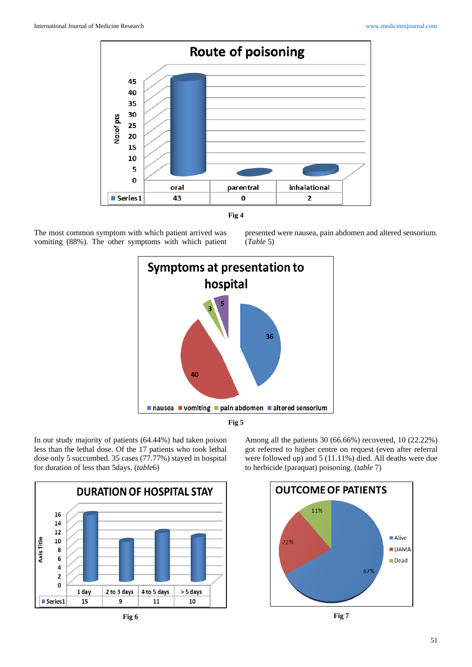

The most common symptom with which patient arrived was vomiting (88%). The other symptoms with which patient presented were nausea, pain abdomen and altered sensorium. (*Table* 5)





In our study majority of patients (64.44%) had taken poison less than the lethal dose. Of the 17 patients who took lethal dose only 5 succumbed. 35 cases (77.77%) stayed in hospital for duration of less than 5days. (*table*6)





Among all the patients 30 (66.66%) recovered, 10 (22.22%) got referred to higher centre on request (even after referral were followed up) and 5 (11.11%) died. All deaths were due to herbicide (paraquat) poisoning. (*table* 7)

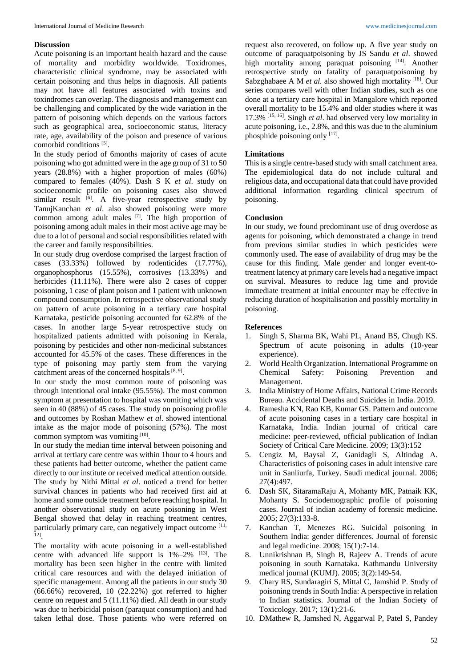#### **Discussion**

Acute poisoning is an important health hazard and the cause of mortality and morbidity worldwide. Toxidromes, characteristic clinical syndrome, may be associated with certain poisoning and thus helps in diagnosis. All patients may not have all features associated with toxins and toxindromes can overlap. The diagnosis and management can be challenging and complicated by the wide variation in the pattern of poisoning which depends on the various factors such as geographical area, socioeconomic status, literacy rate, age, availability of the poison and presence of various comorbid conditions<sup>[5]</sup>.

In the study period of 6months majority of cases of acute poisoning who got admitted were in the age group of 31 to 50 years (28.8%) with a higher proportion of males (60%) compared to females (40%). Dash S K *et al*. study on socioeconomic profile on poisoning cases also showed similar result  $[6]$ . A five-year retrospective study by TanujKanchan *et al*. also showed poisoning were more common among adult males  $[7]$ . The high proportion of poisoning among adult males in their most active age may be due to a lot of personal and social responsibilities related with the career and family responsibilities.

In our study drug overdose comprised the largest fraction of cases (33.33%) followed by rodenticides (17.77%), organophosphorus (15.55%), corrosives (13.33%) and herbicides (11.11%). There were also 2 cases of copper poisoning, 1 case of plant poison and 1 patient with unknown compound consumption. In retrospective observational study on pattern of acute poisoning in a tertiary care hospital Karnataka, pesticide poisoning accounted for 62.8% of the cases. In another large 5-year retrospective study on hospitalized patients admitted with poisoning in Kerala, poisoning by pesticides and other non-medicinal substances accounted for 45.5% of the cases. These differences in the type of poisoning may partly stem from the varying catchment areas of the concerned hospitals  $[8, 9]$ .

In our study the most common route of poisoning was through intentional oral intake (95.55%). The most common symptom at presentation to hospital was vomiting which was seen in 40 (88%) of 45 cases. The study on poisoning profile and outcomes by Roshan Mathew *et al*. showed intentional intake as the major mode of poisoning (57%). The most common symptom was vomiting [10].

In our study the median time interval between poisoning and arrival at tertiary care centre was within 1hour to 4 hours and these patients had better outcome, whether the patient came directly to our institute or received medical attention outside. The study by Nithi Mittal *et al*. noticed a trend for better survival chances in patients who had received first aid at home and some outside treatment before reaching hospital. In another observational study on acute poisoning in West Bengal showed that delay in reaching treatment centres, particularly primary care, can negatively impact outcome [11, 12] .

The mortality with acute poisoning in a well-established centre with advanced life support is  $1\% - 2\%$  <sup>[13]</sup>. The mortality has been seen higher in the centre with limited critical care resources and with the delayed initiation of specific management. Among all the patients in our study 30  $(66.66\%)$  recovered, 10  $(22.22\%)$  got referred to higher centre on request and 5 (11.11%) died. All death in our study was due to herbicidal poison (paraquat consumption) and had taken lethal dose. Those patients who were referred on request also recovered, on follow up. A five year study on outcome of paraquatpoisoning by JS Sandu *et al*. showed high mortality among paraquat poisoning [14]. Another retrospective study on fatality of paraquatpoisoning by Sabzghabaee A M *et al.* also showed high mortality <sup>[18]</sup>. Our series compares well with other Indian studies, such as one done at a tertiary care hospital in Mangalore which reported overall mortality to be 15.4% and older studies where it was 17.3% [15, 16] . Singh *et al*. had observed very low mortality in acute poisoning, i.e., 2.8%, and this was due to the aluminium phosphide poisoning only [17].

# **Limitations**

This is a single centre-based study with small catchment area. The epidemiological data do not include cultural and religious data, and occupational data that could have provided additional information regarding clinical spectrum of poisoning.

#### **Conclusion**

In our study, we found predominant use of drug overdose as agents for poisoning, which demonstrated a change in trend from previous similar studies in which pesticides were commonly used. The ease of availability of drug may be the cause for this finding. Male gender and longer event-totreatment latency at primary care levels had a negative impact on survival. Measures to reduce lag time and provide immediate treatment at initial encounter may be effective in reducing duration of hospitalisation and possibly mortality in poisoning.

# **References**

- 1. Singh S, Sharma BK, Wahi PL, Anand BS, Chugh KS. Spectrum of acute poisoning in adults (10-year experience).
- 2. World Health Organization. International Programme on Chemical Safety: Poisoning Prevention and Management.
- 3. India Ministry of Home Affairs, National Crime Records Bureau. Accidental Deaths and Suicides in India. 2019.
- 4. Ramesha KN, Rao KB, Kumar GS. Pattern and outcome of acute poisoning cases in a tertiary care hospital in Karnataka, India. Indian journal of critical care medicine: peer-reviewed, official publication of Indian Society of Critical Care Medicine. 2009; 13(3):152
- 5. Cengiz M, Baysal Z, Ganidagli S, Altindag A. Characteristics of poisoning cases in adult intensive care unit in Sanliurfa, Turkey. Saudi medical journal. 2006; 27(4):497.
- 6. Dash SK, SitaramaRaju A, Mohanty MK, Patnaik KK, Mohanty S. Sociodemographic profile of poisoning cases. Journal of indian academy of forensic medicine. 2005; 27(3):133-8.
- 7. Kanchan T, Menezes RG. Suicidal poisoning in Southern India: gender differences. Journal of forensic and legal medicine. 2008; 15(1):7-14.
- 8. Unnikrishnan B, Singh B, Rajeev A. Trends of acute poisoning in south Karnataka. Kathmandu University medical journal (KUMJ). 2005; 3(2):149-54.
- 9. Chary RS, Sundaragiri S, Mittal C, Jamshid P. Study of poisoning trends in South India: A perspective in relation to Indian statistics. Journal of the Indian Society of Toxicology. 2017; 13(1):21-6.
- 10. DMathew R, Jamshed N, Aggarwal P, Patel S, Pandey